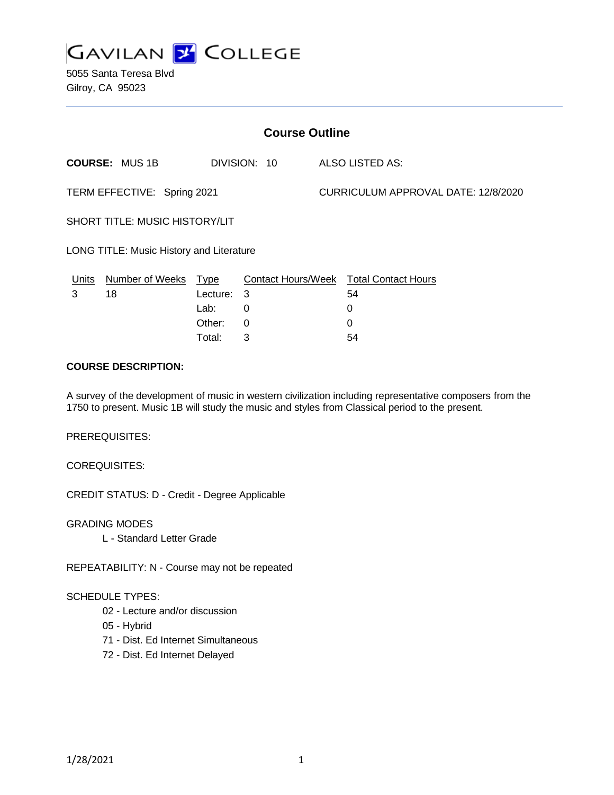

5055 Santa Teresa Blvd Gilroy, CA 95023

| <b>Course Outline</b>                    |                        |             |              |  |                                        |  |
|------------------------------------------|------------------------|-------------|--------------|--|----------------------------------------|--|
|                                          | <b>COURSE: MUS 1B</b>  |             | DIVISION: 10 |  | ALSO LISTED AS:                        |  |
| TERM EFFECTIVE: Spring 2021              |                        |             |              |  | CURRICULUM APPROVAL DATE: 12/8/2020    |  |
| <b>SHORT TITLE: MUSIC HISTORY/LIT</b>    |                        |             |              |  |                                        |  |
| LONG TITLE: Music History and Literature |                        |             |              |  |                                        |  |
| Units                                    | <b>Number of Weeks</b> | <u>Type</u> |              |  | Contact Hours/Week Total Contact Hours |  |
| 3                                        | 18                     | Lecture: 3  |              |  | 54                                     |  |
|                                          |                        | Lab:        | 0            |  | 0                                      |  |
|                                          |                        | Other:      | 0            |  | 0                                      |  |

#### **COURSE DESCRIPTION:**

A survey of the development of music in western civilization including representative composers from the 1750 to present. Music 1B will study the music and styles from Classical period to the present.

Total: 3 54

PREREQUISITES:

COREQUISITES:

CREDIT STATUS: D - Credit - Degree Applicable

GRADING MODES

L - Standard Letter Grade

REPEATABILITY: N - Course may not be repeated

## SCHEDULE TYPES:

- 02 Lecture and/or discussion
- 05 Hybrid
- 71 Dist. Ed Internet Simultaneous
- 72 Dist. Ed Internet Delayed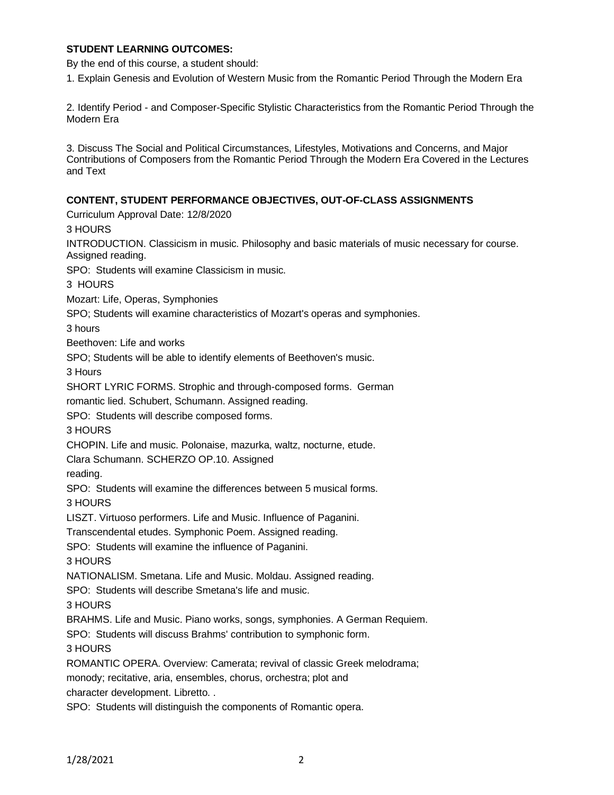## **STUDENT LEARNING OUTCOMES:**

By the end of this course, a student should:

1. Explain Genesis and Evolution of Western Music from the Romantic Period Through the Modern Era

2. Identify Period - and Composer-Specific Stylistic Characteristics from the Romantic Period Through the Modern Era

3. Discuss The Social and Political Circumstances, Lifestyles, Motivations and Concerns, and Major Contributions of Composers from the Romantic Period Through the Modern Era Covered in the Lectures and Text

#### **CONTENT, STUDENT PERFORMANCE OBJECTIVES, OUT-OF-CLASS ASSIGNMENTS**

Curriculum Approval Date: 12/8/2020

3 HOURS

INTRODUCTION. Classicism in music. Philosophy and basic materials of music necessary for course. Assigned reading.

SPO: Students will examine Classicism in music.

3 HOURS

Mozart: Life, Operas, Symphonies

SPO; Students will examine characteristics of Mozart's operas and symphonies.

3 hours

Beethoven: Life and works

SPO; Students will be able to identify elements of Beethoven's music.

3 Hours

SHORT LYRIC FORMS. Strophic and through-composed forms. German

romantic lied. Schubert, Schumann. Assigned reading.

SPO: Students will describe composed forms.

3 HOURS

CHOPIN. Life and music. Polonaise, mazurka, waltz, nocturne, etude.

Clara Schumann. SCHERZO OP.10. Assigned

reading.

SPO: Students will examine the differences between 5 musical forms.

3 HOURS

LISZT. Virtuoso performers. Life and Music. Influence of Paganini.

Transcendental etudes. Symphonic Poem. Assigned reading.

SPO: Students will examine the influence of Paganini.

3 HOURS

NATIONALISM. Smetana. Life and Music. Moldau. Assigned reading.

SPO: Students will describe Smetana's life and music.

3 HOURS

BRAHMS. Life and Music. Piano works, songs, symphonies. A German Requiem.

SPO: Students will discuss Brahms' contribution to symphonic form.

3 HOURS

ROMANTIC OPERA. Overview: Camerata; revival of classic Greek melodrama;

monody; recitative, aria, ensembles, chorus, orchestra; plot and

character development. Libretto. .

SPO: Students will distinguish the components of Romantic opera.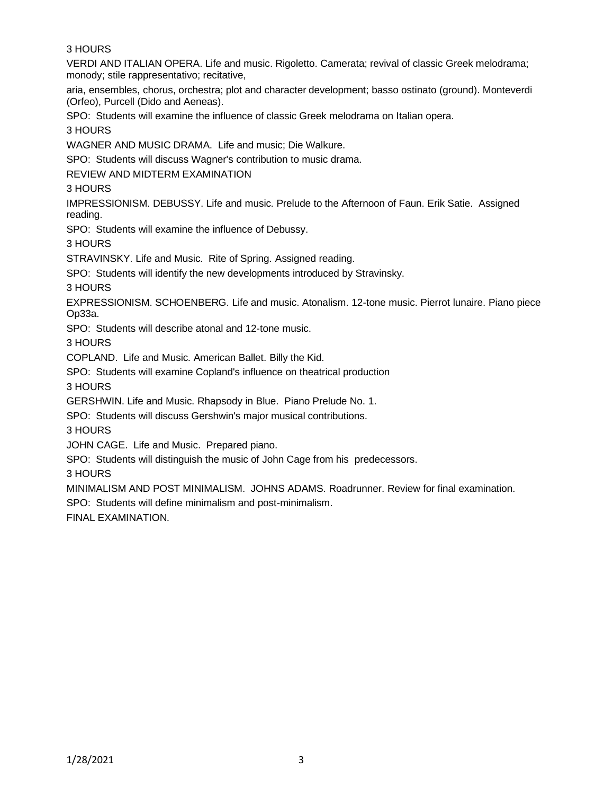3 HOURS

VERDI AND ITALIAN OPERA. Life and music. Rigoletto. Camerata; revival of classic Greek melodrama; monody; stile rappresentativo; recitative,

aria, ensembles, chorus, orchestra; plot and character development; basso ostinato (ground). Monteverdi (Orfeo), Purcell (Dido and Aeneas).

SPO: Students will examine the influence of classic Greek melodrama on Italian opera.

3 HOURS

WAGNER AND MUSIC DRAMA. Life and music; Die Walkure.

SPO: Students will discuss Wagner's contribution to music drama.

REVIEW AND MIDTERM EXAMINATION

3 HOURS

IMPRESSIONISM. DEBUSSY. Life and music. Prelude to the Afternoon of Faun. Erik Satie. Assigned reading.

SPO: Students will examine the influence of Debussy.

3 HOURS

STRAVINSKY. Life and Music. Rite of Spring. Assigned reading.

SPO: Students will identify the new developments introduced by Stravinsky.

3 HOURS

EXPRESSIONISM. SCHOENBERG. Life and music. Atonalism. 12-tone music. Pierrot lunaire. Piano piece Op33a.

SPO: Students will describe atonal and 12-tone music.

3 HOURS

COPLAND. Life and Music. American Ballet. Billy the Kid.

SPO: Students will examine Copland's influence on theatrical production

3 HOURS

GERSHWIN. Life and Music. Rhapsody in Blue. Piano Prelude No. 1.

SPO: Students will discuss Gershwin's major musical contributions.

3 HOURS

JOHN CAGE. Life and Music. Prepared piano.

SPO: Students will distinguish the music of John Cage from his predecessors.

3 HOURS

MINIMALISM AND POST MINIMALISM. JOHNS ADAMS. Roadrunner. Review for final examination.

SPO: Students will define minimalism and post-minimalism.

FINAL EXAMINATION.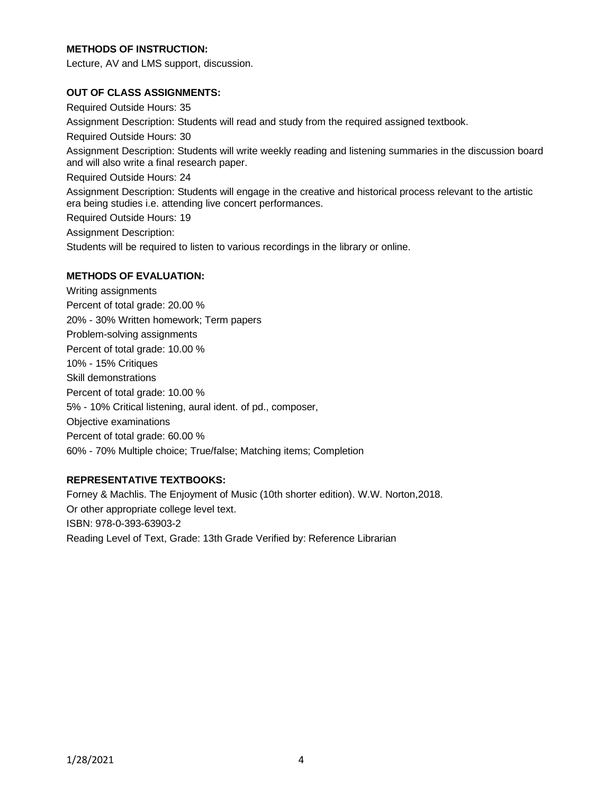# **METHODS OF INSTRUCTION:**

Lecture, AV and LMS support, discussion.

## **OUT OF CLASS ASSIGNMENTS:**

Required Outside Hours: 35 Assignment Description: Students will read and study from the required assigned textbook. Required Outside Hours: 30 Assignment Description: Students will write weekly reading and listening summaries in the discussion board and will also write a final research paper. Required Outside Hours: 24 Assignment Description: Students will engage in the creative and historical process relevant to the artistic era being studies i.e. attending live concert performances. Required Outside Hours: 19 Assignment Description: Students will be required to listen to various recordings in the library or online.

# **METHODS OF EVALUATION:**

Writing assignments Percent of total grade: 20.00 % 20% - 30% Written homework; Term papers Problem-solving assignments Percent of total grade: 10.00 % 10% - 15% Critiques Skill demonstrations Percent of total grade: 10.00 % 5% - 10% Critical listening, aural ident. of pd., composer, Objective examinations Percent of total grade: 60.00 % 60% - 70% Multiple choice; True/false; Matching items; Completion

## **REPRESENTATIVE TEXTBOOKS:**

Forney & Machlis. The Enjoyment of Music (10th shorter edition). W.W. Norton,2018. Or other appropriate college level text. ISBN: 978-0-393-63903-2 Reading Level of Text, Grade: 13th Grade Verified by: Reference Librarian